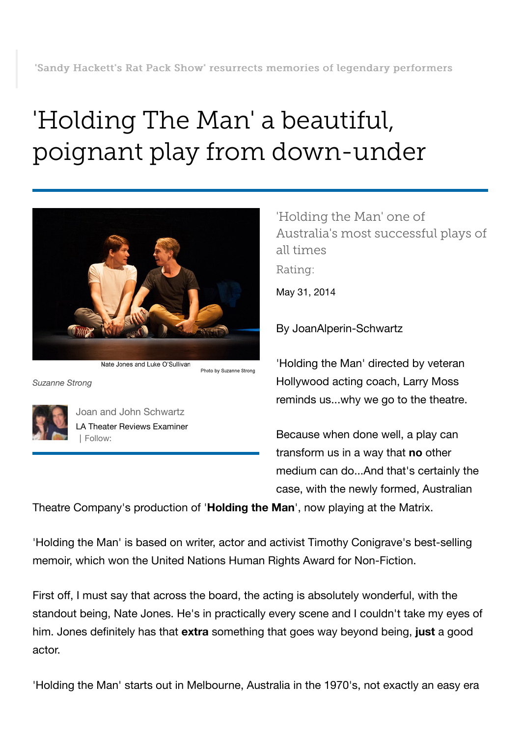## 'Holding The Man' a beautiful, poignant play from down-under



Nate Jones and Luke O'Sullivan

*Suzanne Strong*



[Joan and John Schwartz](http://www.examiner.com/theater-reviews-in-los-angeles/joan-and-john-schwartz) [LA Theater Reviews Examiner](http://www.examiner.com/theater-reviews-in-los-angeles/joan-and-john-schwartz) | Follow:

'Holding the Man' one of Australia's most successful plays of all times Rating:

May 31, 2014

By JoanAlperin-Schwartz

'Holding the Man' directed by veteran Hollywood acting coach, Larry Moss reminds us...why we go to the theatre.

Because when done well, a play can transform us in a way that **no** other medium can do...And that's certainly the case, with the newly formed, Australian

Theatre Company's production of '**Holding the Man**', now playing at the Matrix.

Photo by Suzanne Strong

'Holding the Man' is based on writer, actor and activist Timothy Conigrave's best-selling memoir, which won the United Nations Human Rights Award for Non-Fiction.

First off, I must say that across the board, the acting is absolutely wonderful, with the standout being, Nate Jones. He's in practically every scene and I couldn't take my eyes of him. Jones definitely has that **extra** something that goes way beyond being, **just** a good actor.

'Holding the Man' starts out in Melbourne, Australia in the 1970's, not exactly an easy era